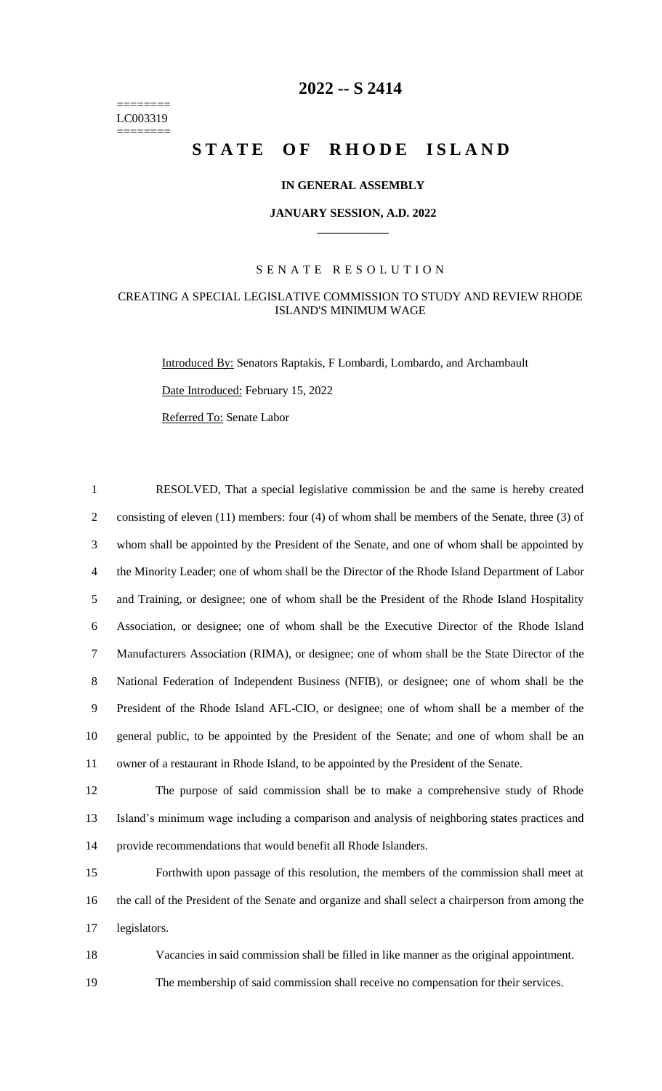======== LC003319 ========

# **2022 -- S 2414**

# **STATE OF RHODE ISLAND**

### **IN GENERAL ASSEMBLY**

#### **JANUARY SESSION, A.D. 2022 \_\_\_\_\_\_\_\_\_\_\_\_**

### S E N A T E R E S O L U T I O N

### CREATING A SPECIAL LEGISLATIVE COMMISSION TO STUDY AND REVIEW RHODE ISLAND'S MINIMUM WAGE

Introduced By: Senators Raptakis, F Lombardi, Lombardo, and Archambault

Date Introduced: February 15, 2022

Referred To: Senate Labor

 RESOLVED, That a special legislative commission be and the same is hereby created 2 consisting of eleven (11) members: four (4) of whom shall be members of the Senate, three (3) of whom shall be appointed by the President of the Senate, and one of whom shall be appointed by the Minority Leader; one of whom shall be the Director of the Rhode Island Department of Labor and Training, or designee; one of whom shall be the President of the Rhode Island Hospitality Association, or designee; one of whom shall be the Executive Director of the Rhode Island Manufacturers Association (RIMA), or designee; one of whom shall be the State Director of the National Federation of Independent Business (NFIB), or designee; one of whom shall be the President of the Rhode Island AFL-CIO, or designee; one of whom shall be a member of the general public, to be appointed by the President of the Senate; and one of whom shall be an owner of a restaurant in Rhode Island, to be appointed by the President of the Senate. The purpose of said commission shall be to make a comprehensive study of Rhode Island's minimum wage including a comparison and analysis of neighboring states practices and provide recommendations that would benefit all Rhode Islanders. Forthwith upon passage of this resolution, the members of the commission shall meet at

16 the call of the President of the Senate and organize and shall select a chairperson from among the 17 legislators.

18 Vacancies in said commission shall be filled in like manner as the original appointment.

19 The membership of said commission shall receive no compensation for their services.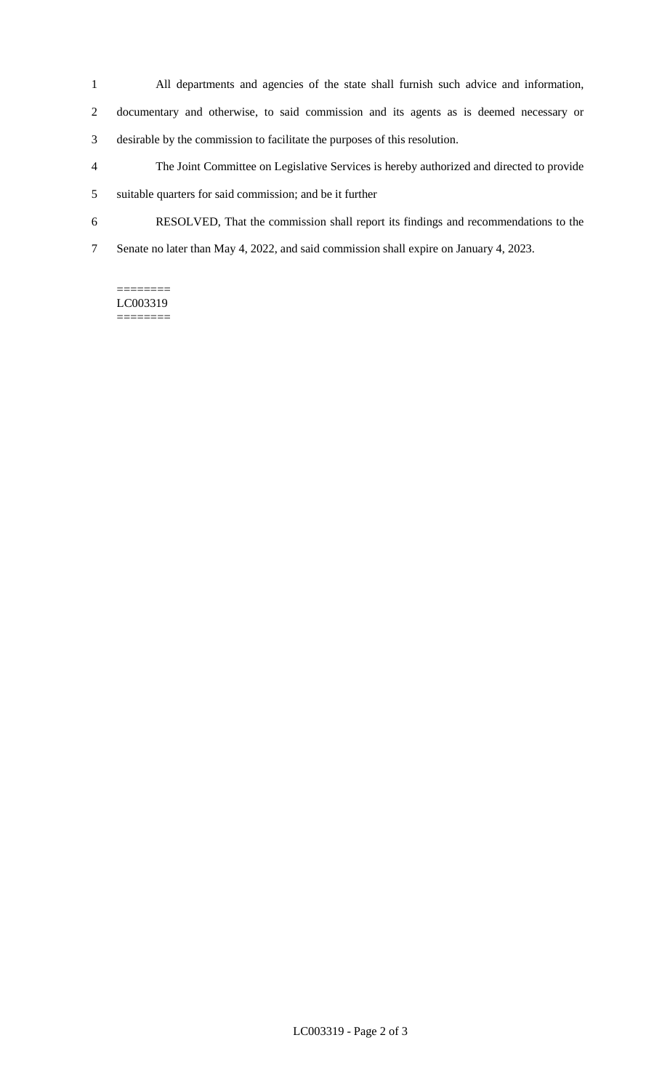- All departments and agencies of the state shall furnish such advice and information,
- documentary and otherwise, to said commission and its agents as is deemed necessary or
- desirable by the commission to facilitate the purposes of this resolution.
- The Joint Committee on Legislative Services is hereby authorized and directed to provide suitable quarters for said commission; and be it further
- RESOLVED, That the commission shall report its findings and recommendations to the
- Senate no later than May 4, 2022, and said commission shall expire on January 4, 2023.

#### ======== LC003319 ========